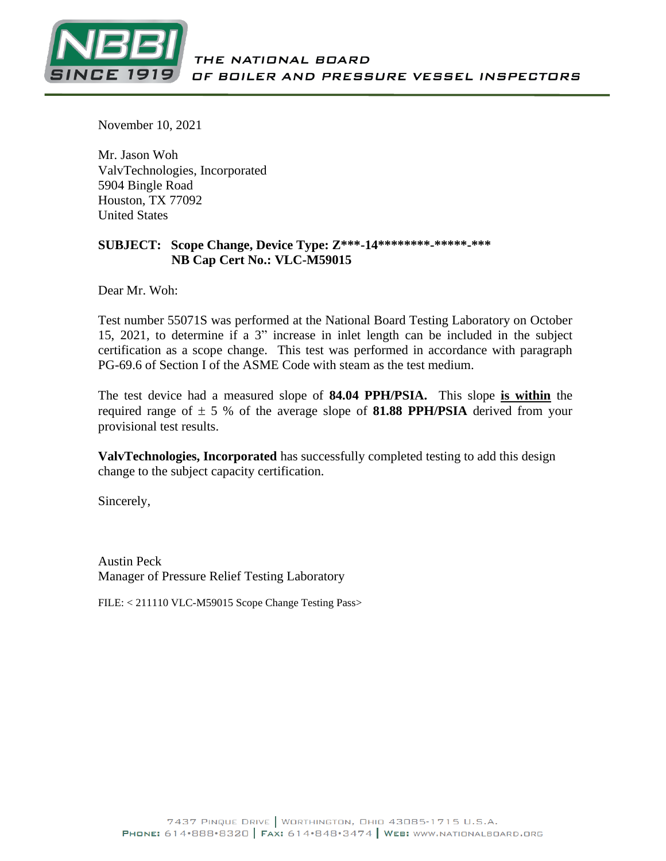

November 10, 2021

Mr. Jason Woh ValvTechnologies, Incorporated 5904 Bingle Road Houston, TX 77092 United States

#### **SUBJECT: Scope Change, Device Type: Z\*\*\*-14\*\*\*\*\*\*\*\*-\*\*\*\*\*-\*\*\* NB Cap Cert No.: VLC-M59015**

Dear Mr. Woh:

Test number 55071S was performed at the National Board Testing Laboratory on October 15, 2021, to determine if a 3" increase in inlet length can be included in the subject certification as a scope change. This test was performed in accordance with paragraph PG-69.6 of Section I of the ASME Code with steam as the test medium.

The test device had a measured slope of **84.04 PPH/PSIA.** This slope **is within** the required range of  $\pm$  5 % of the average slope of **81.88 PPH/PSIA** derived from your provisional test results.

**ValvTechnologies, Incorporated** has successfully completed testing to add this design change to the subject capacity certification.

Sincerely,

Austin Peck Manager of Pressure Relief Testing Laboratory

FILE: < 211110 VLC-M59015 Scope Change Testing Pass>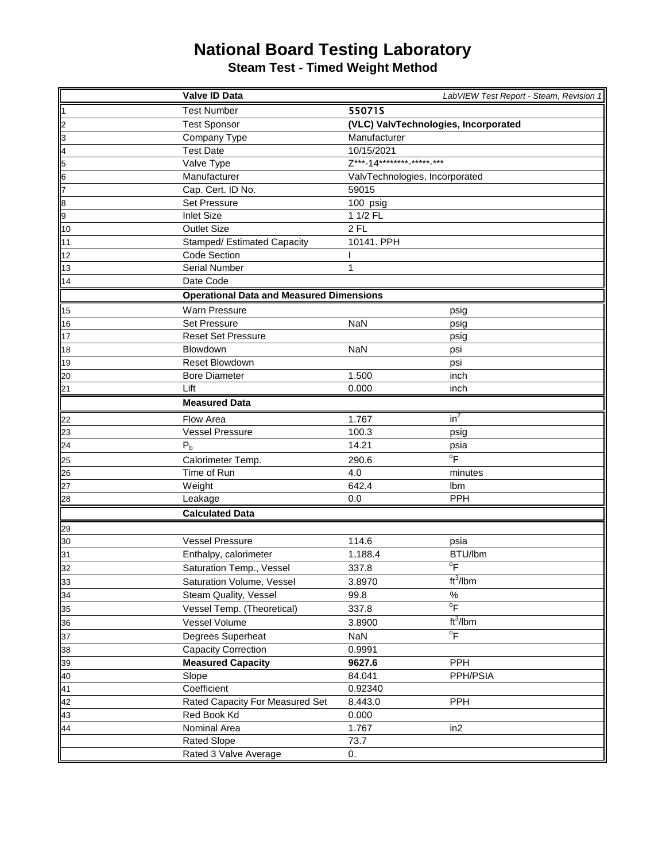## **National Board Testing Laboratory**

**Steam Test - Timed Weight Method**

|                                                 | Valve ID Data                                   |                                        | LabVIEW Test Report - Steam, Revision 1 |  |  |
|-------------------------------------------------|-------------------------------------------------|----------------------------------------|-----------------------------------------|--|--|
| ł1                                              | <b>Test Number</b>                              | 55071S                                 |                                         |  |  |
|                                                 | <b>Test Sponsor</b>                             | (VLC) ValvTechnologies, Incorporated   |                                         |  |  |
|                                                 | Company Type                                    | Manufacturer                           |                                         |  |  |
|                                                 | <b>Test Date</b>                                | 10/15/2021                             |                                         |  |  |
|                                                 | Valve Type                                      | Z***-14******** <sub>-*****-</sub> *** |                                         |  |  |
| 2   2   3   4   5   4   6                       | Manufacturer                                    | ValvTechnologies, Incorporated         |                                         |  |  |
|                                                 | Cap. Cert. ID No.                               | 59015                                  |                                         |  |  |
|                                                 | <b>Set Pressure</b>                             | 100 psig                               |                                         |  |  |
|                                                 | <b>Inlet Size</b>                               | 1 1/2 FL                               |                                         |  |  |
| 10                                              | <b>Outlet Size</b>                              | $2$ FL                                 |                                         |  |  |
| 11                                              | Stamped/ Estimated Capacity                     | 10141. PPH                             |                                         |  |  |
| 12                                              | <b>Code Section</b>                             |                                        |                                         |  |  |
| 13                                              | <b>Serial Number</b>                            | 1                                      |                                         |  |  |
| 14                                              | Date Code                                       |                                        |                                         |  |  |
|                                                 | <b>Operational Data and Measured Dimensions</b> |                                        |                                         |  |  |
| 15                                              | Warn Pressure                                   |                                        | psig                                    |  |  |
| 16                                              | <b>Set Pressure</b>                             | <b>NaN</b>                             | psig                                    |  |  |
| 17                                              | <b>Reset Set Pressure</b>                       |                                        | psig                                    |  |  |
| 18                                              | Blowdown                                        | <b>NaN</b>                             | psi                                     |  |  |
| 19                                              | <b>Reset Blowdown</b>                           |                                        | psi                                     |  |  |
| 20                                              | <b>Bore Diameter</b>                            | 1.500                                  | inch                                    |  |  |
| 21                                              | Lift                                            | 0.000                                  | inch                                    |  |  |
|                                                 | <b>Measured Data</b>                            |                                        |                                         |  |  |
|                                                 | Flow Area                                       | 1.767                                  | $in^2$                                  |  |  |
| $\frac{22}{23}$ $\frac{23}{25}$ $\frac{25}{26}$ | <b>Vessel Pressure</b>                          | 100.3                                  | psig                                    |  |  |
|                                                 | P <sub>b</sub>                                  | 14.21                                  | psia                                    |  |  |
|                                                 | Calorimeter Temp.                               | 290.6                                  | $\overline{P}$                          |  |  |
|                                                 | Time of Run                                     | 4.0                                    | minutes                                 |  |  |
| $\overline{27}$                                 | Weight                                          | 642.4                                  | Ibm                                     |  |  |
| $\frac{28}{1}$                                  | Leakage                                         | 0.0                                    | <b>PPH</b>                              |  |  |
|                                                 | <b>Calculated Data</b>                          |                                        |                                         |  |  |
|                                                 |                                                 |                                        |                                         |  |  |
| 29                                              |                                                 |                                        |                                         |  |  |
| 30<br>31                                        | <b>Vessel Pressure</b><br>Enthalpy, calorimeter | 114.6                                  | psia<br>BTU/lbm                         |  |  |
|                                                 |                                                 | 1,188.4                                | $\overline{P}$                          |  |  |
| 32                                              | Saturation Temp., Vessel                        | 337.8                                  | ft <sup>3</sup> /lbm                    |  |  |
| 33                                              | Saturation Volume, Vessel                       | 3.8970                                 |                                         |  |  |
| 34                                              | Steam Quality, Vessel                           | 99.8                                   | $\%$<br>$\overline{P}$                  |  |  |
| 35                                              | Vessel Temp. (Theoretical)                      | 337.8                                  |                                         |  |  |
| 36                                              | Vessel Volume                                   | 3.8900                                 | ft <sup>3</sup> /lbm                    |  |  |
| 37                                              | Degrees Superheat                               | NaN                                    | $\overline{P}$                          |  |  |
| 38                                              | <b>Capacity Correction</b>                      | 0.9991                                 |                                         |  |  |
| 39                                              | <b>Measured Capacity</b>                        | 9627.6                                 | PPH                                     |  |  |
| 40                                              | Slope                                           | 84.041                                 | PPH/PSIA                                |  |  |
| 41                                              | Coefficient                                     | 0.92340                                |                                         |  |  |
| 42                                              | Rated Capacity For Measured Set                 | 8,443.0                                | <b>PPH</b>                              |  |  |
| 43                                              | Red Book Kd                                     | 0.000                                  |                                         |  |  |
| 44                                              | Nominal Area                                    | 1.767                                  | in <sub>2</sub>                         |  |  |
|                                                 | <b>Rated Slope</b>                              | 73.7                                   |                                         |  |  |
|                                                 | Rated 3 Valve Average                           | 0.                                     |                                         |  |  |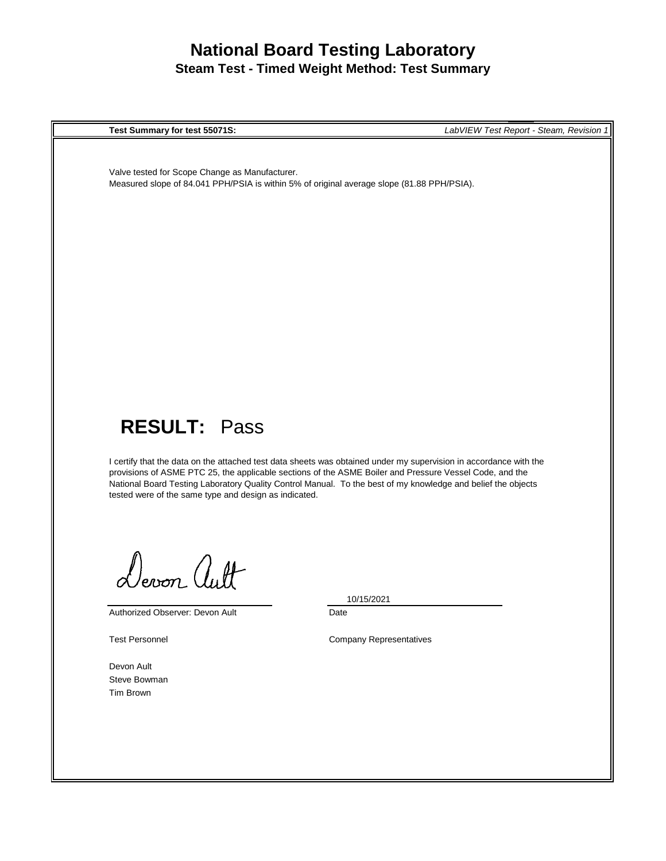## **National Board Testing Laboratory Steam Test - Timed Weight Method: Test Summary**

**Test Summary for test 55071S:** *LabVIEW Test Report - Steam, Revision 1*

Valve tested for Scope Change as Manufacturer. Measured slope of 84.041 PPH/PSIA is within 5% of original average slope (81.88 PPH/PSIA).

# **RESULT:** Pass

I certify that the data on the attached test data sheets was obtained under my supervision in accordance with the provisions of ASME PTC 25, the applicable sections of the ASME Boiler and Pressure Vessel Code, and the National Board Testing Laboratory Quality Control Manual. To the best of my knowledge and belief the objects tested were of the same type and design as indicated.

Devon autt

Authorized Observer: Devon Ault

10/15/2021

Date

Test Personnel **Company Representatives** 

Devon Ault Steve Bowman Tim Brown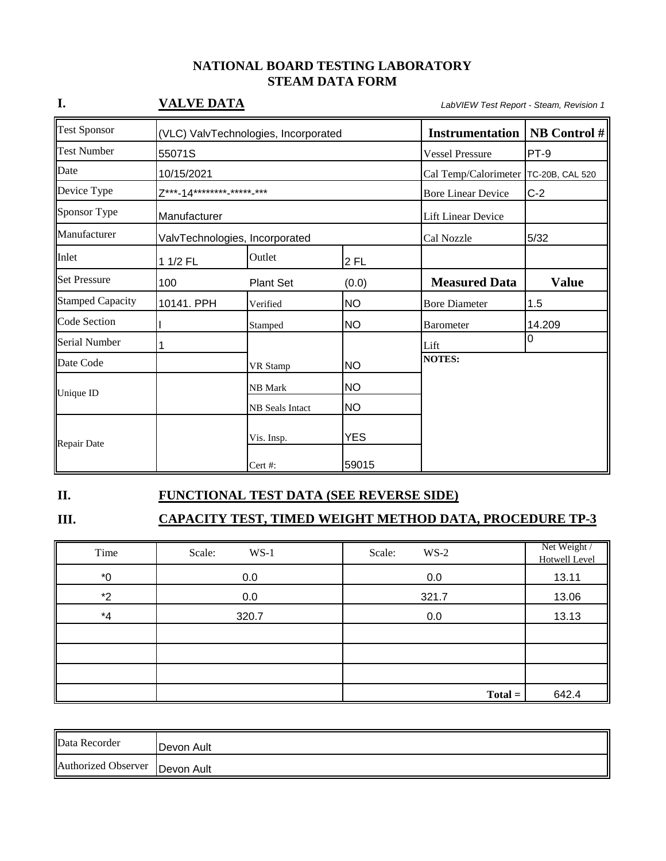#### **NATIONAL BOARD TESTING LABORATORY STEAM DATA FORM**

| I.                      | <b>VALVE DATA</b>                      |                                      |            |                           | LabVIEW Test Report - Steam, Revision 1 |  |  |
|-------------------------|----------------------------------------|--------------------------------------|------------|---------------------------|-----------------------------------------|--|--|
| <b>Test Sponsor</b>     |                                        | (VLC) ValvTechnologies, Incorporated |            |                           | <b>NB</b> Control #                     |  |  |
| <b>Test Number</b>      | 55071S                                 |                                      |            | <b>Vessel Pressure</b>    | PT-9                                    |  |  |
| Date                    | 10/15/2021                             |                                      |            | Cal Temp/Calorimeter      | TC-20B, CAL 520                         |  |  |
| Device Type             | Z***-14******** <sub>-*****-</sub> *** |                                      |            | <b>Bore Linear Device</b> | $C-2$                                   |  |  |
| Sponsor Type            | Manufacturer                           |                                      |            | <b>Lift Linear Device</b> |                                         |  |  |
| Manufacturer            |                                        | ValvTechnologies, Incorporated       |            | Cal Nozzle                | 5/32                                    |  |  |
| Inlet                   | 1 1/2 FL                               | Outlet                               | 2 FL       |                           |                                         |  |  |
| <b>Set Pressure</b>     | 100                                    | <b>Plant Set</b>                     | (0.0)      | <b>Measured Data</b>      | <b>Value</b>                            |  |  |
| <b>Stamped Capacity</b> | 10141. PPH                             | Verified                             | NΟ         | <b>Bore Diameter</b>      | 1.5                                     |  |  |
| <b>Code Section</b>     |                                        | Stamped                              | NΟ         | <b>Barometer</b>          | 14.209                                  |  |  |
| Serial Number           | 1                                      |                                      |            | Lift                      | $\overline{0}$                          |  |  |
| Date Code               |                                        | VR Stamp                             | <b>NO</b>  | <b>NOTES:</b>             |                                         |  |  |
| Unique ID               |                                        | NB Mark                              | <b>NO</b>  |                           |                                         |  |  |
|                         |                                        | NB Seals Intact                      | <b>NO</b>  |                           |                                         |  |  |
| <b>Repair Date</b>      |                                        | Vis. Insp.                           | <b>YES</b> |                           |                                         |  |  |
|                         |                                        | Cert #:                              | 59015      |                           |                                         |  |  |

#### **II. FUNCTIONAL TEST DATA (SEE REVERSE SIDE)**

# **III. CAPACITY TEST, TIMED WEIGHT METHOD DATA, PROCEDURE TP-3**

| Time  | Scale:<br>$WS-1$ | Scale:<br>$WS-2$ | Net Weight /<br>Hotwell Level |
|-------|------------------|------------------|-------------------------------|
| $^*0$ | 0.0              | 0.0              | 13.11                         |
| $*2$  | 0.0              | 321.7            | 13.06                         |
| $^*4$ | 320.7            | 0.0              | 13.13                         |
|       |                  |                  |                               |
|       |                  |                  |                               |
|       |                  |                  |                               |
|       |                  | $Total =$        | 642.4                         |

| Data Recorder                    | Devon Ault |
|----------------------------------|------------|
| Authorized Observer   Devon Ault |            |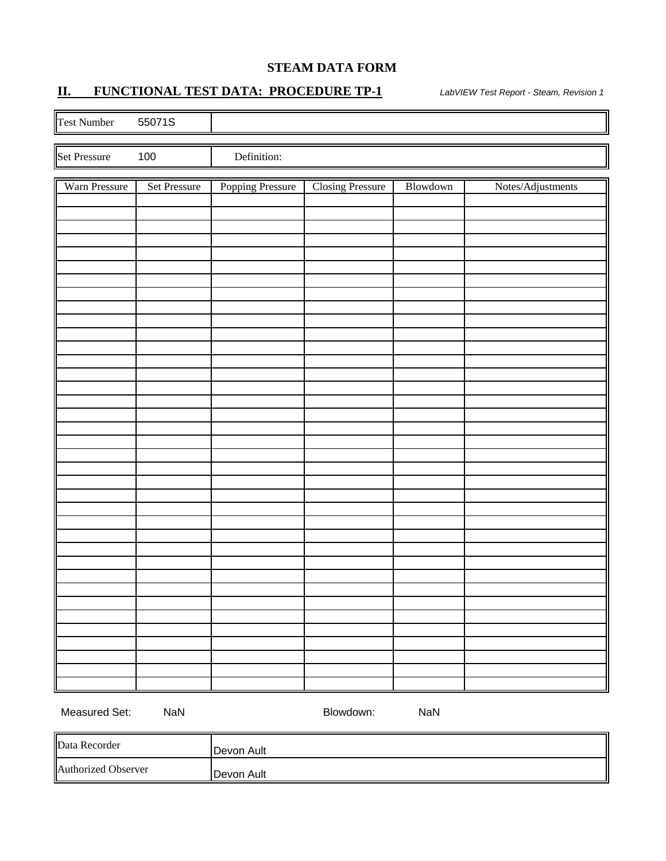#### **STEAM DATA FORM**

### **II. FUNCTIONAL TEST DATA: PROCEDURE TP-1** *LabVIEW Test Report - Steam, Revision 1*

| Test Number   | 55071S       |                  |                         |          |                   |
|---------------|--------------|------------------|-------------------------|----------|-------------------|
| Set Pressure  | $100\,$      | Definition:      |                         |          |                   |
|               |              |                  |                         |          |                   |
| Warn Pressure | Set Pressure | Popping Pressure | <b>Closing Pressure</b> | Blowdown | Notes/Adjustments |
|               |              |                  |                         |          |                   |
|               |              |                  |                         |          |                   |
|               |              |                  |                         |          |                   |
|               |              |                  |                         |          |                   |
|               |              |                  |                         |          |                   |
|               |              |                  |                         |          |                   |
|               |              |                  |                         |          |                   |
|               |              |                  |                         |          |                   |
|               |              |                  |                         |          |                   |
|               |              |                  |                         |          |                   |
|               |              |                  |                         |          |                   |
|               |              |                  |                         |          |                   |
|               |              |                  |                         |          |                   |
|               |              |                  |                         |          |                   |
|               |              |                  |                         |          |                   |
|               |              |                  |                         |          |                   |
|               |              |                  |                         |          |                   |
|               |              |                  |                         |          |                   |
|               |              |                  |                         |          |                   |
|               |              |                  |                         |          |                   |
|               |              |                  |                         |          |                   |
|               |              |                  |                         |          |                   |
|               |              |                  |                         |          |                   |
|               |              |                  |                         |          |                   |
|               |              |                  |                         |          |                   |
|               |              |                  |                         |          |                   |
|               |              |                  |                         |          |                   |
|               |              |                  |                         |          |                   |
|               |              |                  |                         |          |                   |
|               |              |                  |                         |          |                   |
|               |              |                  |                         |          |                   |
|               |              |                  |                         |          |                   |
| Measured Set: | NaN          |                  | Blowdown:               | NaN      |                   |

Data Recorder **Devon Ault** Authorized Observer **Devon Ault**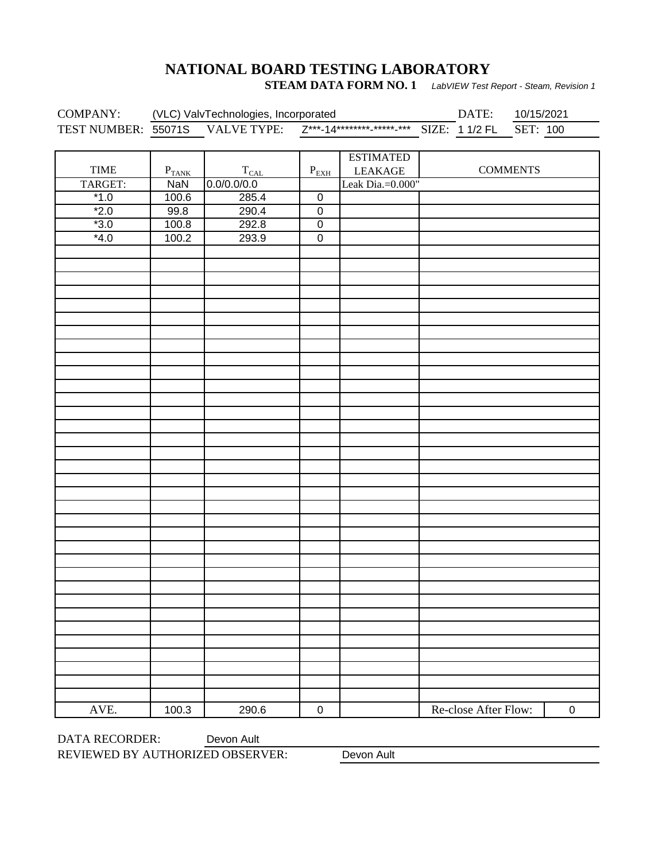## **NATIONAL BOARD TESTING LABORATORY**

**STEAM DATA FORM NO. 1** LabVIEW Test Report - Steam, Revision 1

|             | COMPANY: (VLC) ValvTechnologies, Incorporated DATE: 10/15/2021<br>TEST NUMBER: 55071S VALVE TYPE: $Z^{***-14******-***-***-}$ SIZE: 11/2 FL SET: 100 |               |                | DATE: 10/15/2021 |                      |                 |           |
|-------------|------------------------------------------------------------------------------------------------------------------------------------------------------|---------------|----------------|------------------|----------------------|-----------------|-----------|
|             |                                                                                                                                                      |               |                |                  |                      |                 |           |
|             |                                                                                                                                                      |               |                |                  |                      |                 |           |
|             |                                                                                                                                                      |               |                | <b>ESTIMATED</b> |                      |                 |           |
| <b>TIME</b> | $P_{TANK}$                                                                                                                                           | $T_{\rm CAL}$ | $P_{EXH}$      | <b>LEAKAGE</b>   |                      | <b>COMMENTS</b> |           |
| TARGET:     | <b>NaN</b>                                                                                                                                           | 0.0/0.0/0.0   |                | Leak Dia.=0.000" |                      |                 |           |
| $*1.0$      | 100.6                                                                                                                                                | 285.4         | $\pmb{0}$      |                  |                      |                 |           |
| $*2.0$      | 99.8                                                                                                                                                 | 290.4         | $\pmb{0}$      |                  |                      |                 |           |
| $*3.0$      | 100.8                                                                                                                                                | 292.8         | $\pmb{0}$      |                  |                      |                 |           |
| $*4.0$      | 100.2                                                                                                                                                | 293.9         | $\overline{0}$ |                  |                      |                 |           |
|             |                                                                                                                                                      |               |                |                  |                      |                 |           |
|             |                                                                                                                                                      |               |                |                  |                      |                 |           |
|             |                                                                                                                                                      |               |                |                  |                      |                 |           |
|             |                                                                                                                                                      |               |                |                  |                      |                 |           |
|             |                                                                                                                                                      |               |                |                  |                      |                 |           |
|             |                                                                                                                                                      |               |                |                  |                      |                 |           |
|             |                                                                                                                                                      |               |                |                  |                      |                 |           |
|             |                                                                                                                                                      |               |                |                  |                      |                 |           |
|             |                                                                                                                                                      |               |                |                  |                      |                 |           |
|             |                                                                                                                                                      |               |                |                  |                      |                 |           |
|             |                                                                                                                                                      |               |                |                  |                      |                 |           |
|             |                                                                                                                                                      |               |                |                  |                      |                 |           |
|             |                                                                                                                                                      |               |                |                  |                      |                 |           |
|             |                                                                                                                                                      |               |                |                  |                      |                 |           |
|             |                                                                                                                                                      |               |                |                  |                      |                 |           |
|             |                                                                                                                                                      |               |                |                  |                      |                 |           |
|             |                                                                                                                                                      |               |                |                  |                      |                 |           |
|             |                                                                                                                                                      |               |                |                  |                      |                 |           |
|             |                                                                                                                                                      |               |                |                  |                      |                 |           |
|             |                                                                                                                                                      |               |                |                  |                      |                 |           |
|             |                                                                                                                                                      |               |                |                  |                      |                 |           |
|             |                                                                                                                                                      |               |                |                  |                      |                 |           |
|             |                                                                                                                                                      |               |                |                  |                      |                 |           |
|             |                                                                                                                                                      |               |                |                  |                      |                 |           |
|             |                                                                                                                                                      |               |                |                  |                      |                 |           |
|             |                                                                                                                                                      |               |                |                  |                      |                 |           |
|             |                                                                                                                                                      |               |                |                  |                      |                 |           |
|             |                                                                                                                                                      |               |                |                  |                      |                 |           |
|             |                                                                                                                                                      |               |                |                  |                      |                 |           |
|             |                                                                                                                                                      |               |                |                  |                      |                 |           |
|             |                                                                                                                                                      |               |                |                  |                      |                 |           |
|             |                                                                                                                                                      |               |                |                  |                      |                 |           |
|             |                                                                                                                                                      |               |                |                  |                      |                 |           |
|             |                                                                                                                                                      |               |                |                  |                      |                 |           |
| AVE.        | 100.3                                                                                                                                                | 290.6         | $\pmb{0}$      |                  | Re-close After Flow: |                 | $\pmb{0}$ |

DATA RECORDER: REVIEWED BY AUTHORIZED OBSERVER: Devon Ault

Devon Ault